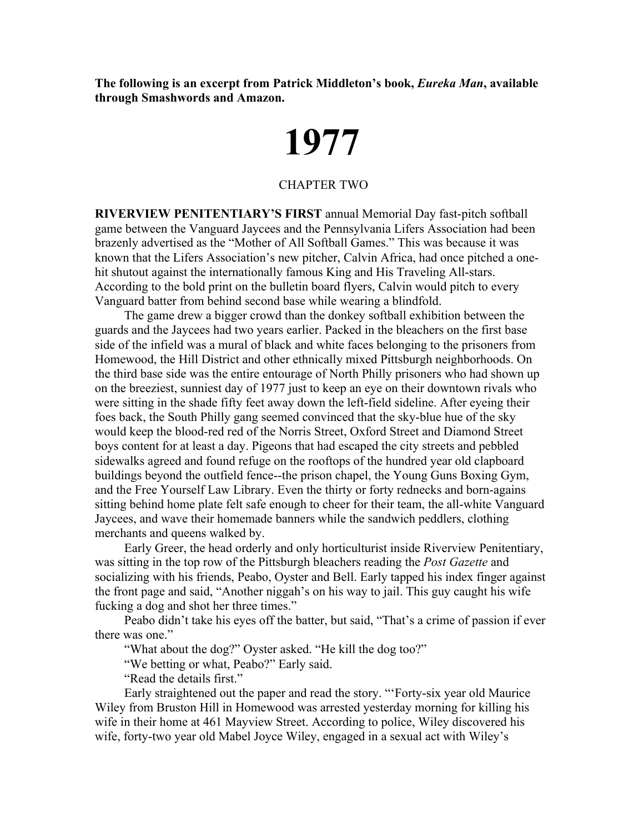**The following is an excerpt from Patrick Middleton's book,** *Eureka Man***, available through Smashwords and Amazon.**

## **1977**

## CHAPTER TWO

**RIVERVIEW PENITENTIARY'S FIRST** annual Memorial Day fast-pitch softball game between the Vanguard Jaycees and the Pennsylvania Lifers Association had been brazenly advertised as the "Mother of All Softball Games." This was because it was known that the Lifers Association's new pitcher, Calvin Africa, had once pitched a onehit shutout against the internationally famous King and His Traveling All-stars. According to the bold print on the bulletin board flyers, Calvin would pitch to every Vanguard batter from behind second base while wearing a blindfold.

The game drew a bigger crowd than the donkey softball exhibition between the guards and the Jaycees had two years earlier. Packed in the bleachers on the first base side of the infield was a mural of black and white faces belonging to the prisoners from Homewood, the Hill District and other ethnically mixed Pittsburgh neighborhoods. On the third base side was the entire entourage of North Philly prisoners who had shown up on the breeziest, sunniest day of 1977 just to keep an eye on their downtown rivals who were sitting in the shade fifty feet away down the left-field sideline. After eyeing their foes back, the South Philly gang seemed convinced that the sky-blue hue of the sky would keep the blood-red red of the Norris Street, Oxford Street and Diamond Street boys content for at least a day. Pigeons that had escaped the city streets and pebbled sidewalks agreed and found refuge on the rooftops of the hundred year old clapboard buildings beyond the outfield fence--the prison chapel, the Young Guns Boxing Gym, and the Free Yourself Law Library. Even the thirty or forty rednecks and born-agains sitting behind home plate felt safe enough to cheer for their team, the all-white Vanguard Jaycees, and wave their homemade banners while the sandwich peddlers, clothing merchants and queens walked by.

Early Greer, the head orderly and only horticulturist inside Riverview Penitentiary, was sitting in the top row of the Pittsburgh bleachers reading the *Post Gazette* and socializing with his friends, Peabo, Oyster and Bell. Early tapped his index finger against the front page and said, "Another niggah's on his way to jail. This guy caught his wife fucking a dog and shot her three times."

Peabo didn't take his eyes off the batter, but said, "That's a crime of passion if ever there was one."

"What about the dog?" Oyster asked. "He kill the dog too?"

"We betting or what, Peabo?" Early said.

"Read the details first."

Early straightened out the paper and read the story. "'Forty-six year old Maurice Wiley from Bruston Hill in Homewood was arrested yesterday morning for killing his wife in their home at 461 Mayview Street. According to police, Wiley discovered his wife, forty-two year old Mabel Joyce Wiley, engaged in a sexual act with Wiley's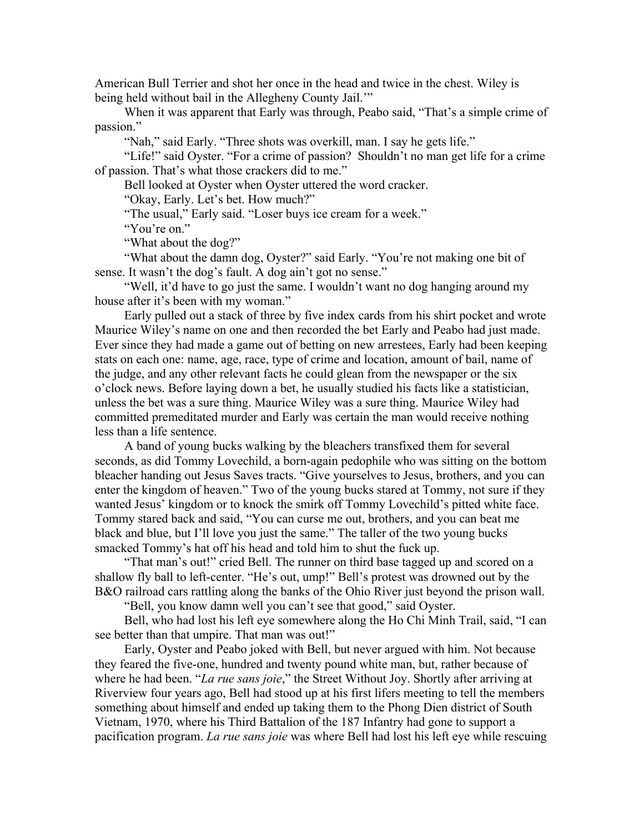American Bull Terrier and shot her once in the head and twice in the chest. Wiley is being held without bail in the Allegheny County Jail."

When it was apparent that Early was through, Peabo said, "That's a simple crime of passion."

"Nah," said Early. "Three shots was overkill, man. I say he gets life."

"Life!" said Oyster. "For a crime of passion? Shouldn't no man get life for a crime of passion. That's what those crackers did to me."

Bell looked at Oyster when Oyster uttered the word cracker.

"Okay, Early. Let's bet. How much?"

"The usual," Early said. "Loser buys ice cream for a week."

"You're on."

"What about the dog?"

"What about the damn dog, Oyster?" said Early. "You're not making one bit of sense. It wasn't the dog's fault. A dog ain't got no sense."

"Well, it'd have to go just the same. I wouldn't want no dog hanging around my house after it's been with my woman."

Early pulled out a stack of three by five index cards from his shirt pocket and wrote Maurice Wiley's name on one and then recorded the bet Early and Peabo had just made. Ever since they had made a game out of betting on new arrestees, Early had been keeping stats on each one: name, age, race, type of crime and location, amount of bail, name of the judge, and any other relevant facts he could glean from the newspaper or the six o'clock news. Before laying down a bet, he usually studied his facts like a statistician, unless the bet was a sure thing. Maurice Wiley was a sure thing. Maurice Wiley had committed premeditated murder and Early was certain the man would receive nothing less than a life sentence.

A band of young bucks walking by the bleachers transfixed them for several seconds, as did Tommy Lovechild, a born-again pedophile who was sitting on the bottom bleacher handing out Jesus Saves tracts. "Give yourselves to Jesus, brothers, and you can enter the kingdom of heaven." Two of the young bucks stared at Tommy, not sure if they wanted Jesus' kingdom or to knock the smirk off Tommy Lovechild's pitted white face. Tommy stared back and said, "You can curse me out, brothers, and you can beat me black and blue, but I'll love you just the same." The taller of the two young bucks smacked Tommy's hat off his head and told him to shut the fuck up.

"That man's out!" cried Bell. The runner on third base tagged up and scored on a shallow fly ball to left-center. "He's out, ump!" Bell's protest was drowned out by the B&O railroad cars rattling along the banks of the Ohio River just beyond the prison wall.

"Bell, you know damn well you can't see that good," said Oyster.

Bell, who had lost his left eye somewhere along the Ho Chi Minh Trail, said, "I can see better than that umpire. That man was out!"

Early, Oyster and Peabo joked with Bell, but never argued with him. Not because they feared the five-one, hundred and twenty pound white man, but, rather because of where he had been. "*La rue sans joie*," the Street Without Joy. Shortly after arriving at Riverview four years ago, Bell had stood up at his first lifers meeting to tell the members something about himself and ended up taking them to the Phong Dien district of South Vietnam, 1970, where his Third Battalion of the 187 Infantry had gone to support a pacification program. *La rue sans joie* was where Bell had lost his left eye while rescuing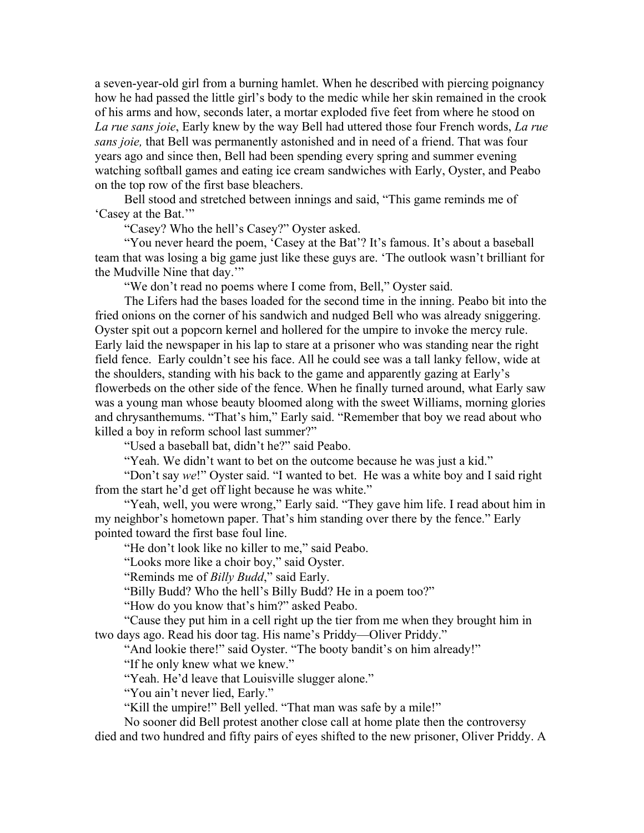a seven-year-old girl from a burning hamlet. When he described with piercing poignancy how he had passed the little girl's body to the medic while her skin remained in the crook of his arms and how, seconds later, a mortar exploded five feet from where he stood on *La rue sans joie*, Early knew by the way Bell had uttered those four French words, *La rue sans joie,* that Bell was permanently astonished and in need of a friend. That was four years ago and since then, Bell had been spending every spring and summer evening watching softball games and eating ice cream sandwiches with Early, Oyster, and Peabo on the top row of the first base bleachers.

Bell stood and stretched between innings and said, "This game reminds me of 'Casey at the Bat.'"

"Casey? Who the hell's Casey?" Oyster asked.

"You never heard the poem, 'Casey at the Bat'? It's famous. It's about a baseball team that was losing a big game just like these guys are. 'The outlook wasn't brilliant for the Mudville Nine that day.'"

"We don't read no poems where I come from, Bell," Oyster said.

The Lifers had the bases loaded for the second time in the inning. Peabo bit into the fried onions on the corner of his sandwich and nudged Bell who was already sniggering. Oyster spit out a popcorn kernel and hollered for the umpire to invoke the mercy rule. Early laid the newspaper in his lap to stare at a prisoner who was standing near the right field fence. Early couldn't see his face. All he could see was a tall lanky fellow, wide at the shoulders, standing with his back to the game and apparently gazing at Early's flowerbeds on the other side of the fence. When he finally turned around, what Early saw was a young man whose beauty bloomed along with the sweet Williams, morning glories and chrysanthemums. "That's him," Early said. "Remember that boy we read about who killed a boy in reform school last summer?"

"Used a baseball bat, didn't he?" said Peabo.

"Yeah. We didn't want to bet on the outcome because he was just a kid."

"Don't say *we*!" Oyster said. "I wanted to bet. He was a white boy and I said right from the start he'd get off light because he was white."

"Yeah, well, you were wrong," Early said. "They gave him life. I read about him in my neighbor's hometown paper. That's him standing over there by the fence." Early pointed toward the first base foul line.

"He don't look like no killer to me," said Peabo.

"Looks more like a choir boy," said Oyster.

"Reminds me of *Billy Budd*," said Early.

"Billy Budd? Who the hell's Billy Budd? He in a poem too?"

"How do you know that's him?" asked Peabo.

"Cause they put him in a cell right up the tier from me when they brought him in two days ago. Read his door tag. His name's Priddy—Oliver Priddy."

"And lookie there!" said Oyster. "The booty bandit's on him already!"

"If he only knew what we knew."

"Yeah. He'd leave that Louisville slugger alone."

"You ain't never lied, Early."

"Kill the umpire!" Bell yelled. "That man was safe by a mile!"

No sooner did Bell protest another close call at home plate then the controversy died and two hundred and fifty pairs of eyes shifted to the new prisoner, Oliver Priddy. A